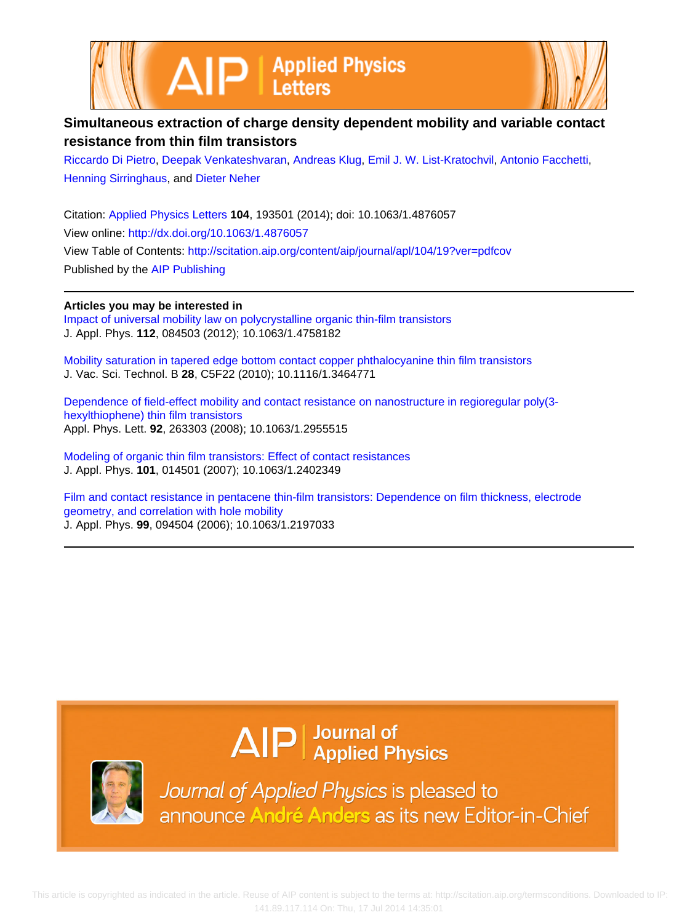



## **Simultaneous extraction of charge density dependent mobility and variable contact resistance from thin film transistors**

[Riccardo Di Pietro,](http://scitation.aip.org/search?value1=Riccardo+Di+Pietro&option1=author) [Deepak Venkateshvaran,](http://scitation.aip.org/search?value1=Deepak+Venkateshvaran&option1=author) [Andreas Klug](http://scitation.aip.org/search?value1=Andreas+Klug&option1=author), [Emil J. W. List-Kratochvil](http://scitation.aip.org/search?value1=Emil+J.+W.+List-Kratochvil&option1=author), [Antonio Facchetti](http://scitation.aip.org/search?value1=Antonio+Facchetti&option1=author), [Henning Sirringhaus,](http://scitation.aip.org/search?value1=Henning+Sirringhaus&option1=author) and [Dieter Neher](http://scitation.aip.org/search?value1=Dieter+Neher&option1=author)

Citation: [Applied Physics Letters](http://scitation.aip.org/content/aip/journal/apl?ver=pdfcov) **104**, 193501 (2014); doi: 10.1063/1.4876057 View online: <http://dx.doi.org/10.1063/1.4876057> View Table of Contents: <http://scitation.aip.org/content/aip/journal/apl/104/19?ver=pdfcov> Published by the [AIP Publishing](http://scitation.aip.org/content/aip?ver=pdfcov)

## **Articles you may be interested in**

[Impact of universal mobility law on polycrystalline organic thin-film transistors](http://scitation.aip.org/content/aip/journal/jap/112/8/10.1063/1.4758182?ver=pdfcov) J. Appl. Phys. **112**, 084503 (2012); 10.1063/1.4758182

[Mobility saturation in tapered edge bottom contact copper phthalocyanine thin film transistors](http://scitation.aip.org/content/avs/journal/jvstb/28/4/10.1116/1.3464771?ver=pdfcov) J. Vac. Sci. Technol. B **28**, C5F22 (2010); 10.1116/1.3464771

[Dependence of field-effect mobility and contact resistance on nanostructure in regioregular poly\(3](http://scitation.aip.org/content/aip/journal/apl/92/26/10.1063/1.2955515?ver=pdfcov) [hexylthiophene\) thin film transistors](http://scitation.aip.org/content/aip/journal/apl/92/26/10.1063/1.2955515?ver=pdfcov) Appl. Phys. Lett. **92**, 263303 (2008); 10.1063/1.2955515

[Modeling of organic thin film transistors: Effect of contact resistances](http://scitation.aip.org/content/aip/journal/jap/101/1/10.1063/1.2402349?ver=pdfcov) J. Appl. Phys. **101**, 014501 (2007); 10.1063/1.2402349

[Film and contact resistance in pentacene thin-film transistors: Dependence on film thickness, electrode](http://scitation.aip.org/content/aip/journal/jap/99/9/10.1063/1.2197033?ver=pdfcov) [geometry, and correlation with hole mobility](http://scitation.aip.org/content/aip/journal/jap/99/9/10.1063/1.2197033?ver=pdfcov) J. Appl. Phys. **99**, 094504 (2006); 10.1063/1.2197033

## $\Delta$   $\vert P \vert$  Journal of Applied Physics



Journal of Applied Physics is pleased to announce André Anders as its new Editor-in-Chief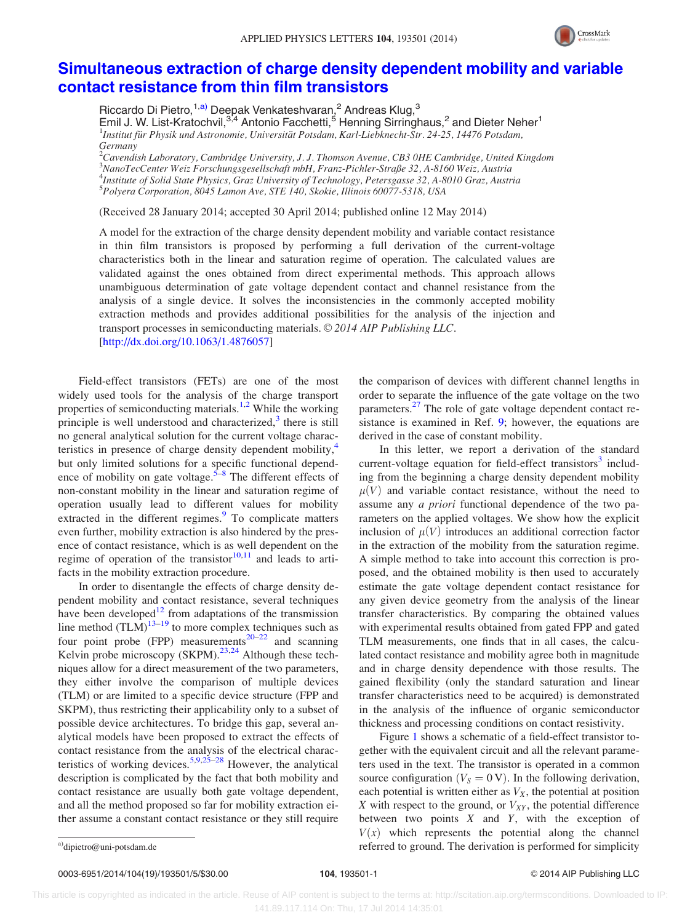

## [Simultaneous extraction of charge density dependent mobility and variable](http://dx.doi.org/10.1063/1.4876057) [contact resistance from thin film transistors](http://dx.doi.org/10.1063/1.4876057)

Riccardo Di Pietro,<sup>1,a)</sup> Deepak Venkateshvaran,<sup>2</sup> Andreas Klug,<sup>3</sup> Emil J. W. List-Kratochvil,<sup>3,4</sup> Antonio Facchetti,<sup>5</sup> Henning Sirringhaus,<sup>2</sup> and Dieter Neher<sup>1</sup> <sup>1</sup>Institut für Physik und Astronomie, Universität Potsdam, Karl-Liebknecht-Str. 24-25, 14476 Potsdam, Germany

 $^2$ Cavendish Laboratory, Cambridge University, J. J. Thomson Avenue, CB3 0HE Cambridge, United Kingdom NanoTecCenter Weiz Forschungsgesellschaft mbH, Franz-Pichler-Straße 32, A-8160 Weiz, Austria Institute of Solid State Physics, Graz University of Technology, Petersgasse 32, A-8010 Graz, Austria Polyera Corporation, 8045 Lamon Ave, STE 140, Skokie, Illinois 60077-5318, USA

(Received 28 January 2014; accepted 30 April 2014; published online 12 May 2014)

A model for the extraction of the charge density dependent mobility and variable contact resistance in thin film transistors is proposed by performing a full derivation of the current-voltage characteristics both in the linear and saturation regime of operation. The calculated values are validated against the ones obtained from direct experimental methods. This approach allows unambiguous determination of gate voltage dependent contact and channel resistance from the analysis of a single device. It solves the inconsistencies in the commonly accepted mobility extraction methods and provides additional possibilities for the analysis of the injection and transport processes in semiconducting materials. © 2014 AIP Publishing LLC. [\[http://dx.doi.org/10.1063/1.4876057](http://dx.doi.org/10.1063/1.4876057)]

Field-effect transistors (FETs) are one of the most widely used tools for the analysis of the charge transport properties of semiconducting materials.<sup>[1,2](#page-5-0)</sup> While the working principle is well understood and characterized, $3$  there is still no general analytical solution for the current voltage charac-teristics in presence of charge density dependent mobility,<sup>[4](#page-5-0)</sup> but only limited solutions for a specific functional dependence of mobility on gate voltage.<sup> $5-8$ </sup> The different effects of non-constant mobility in the linear and saturation regime of operation usually lead to different values for mobility extracted in the different regimes.<sup>[9](#page-5-0)</sup> To complicate matters even further, mobility extraction is also hindered by the presence of contact resistance, which is as well dependent on the regime of operation of the transistor $10,11$  and leads to artifacts in the mobility extraction procedure.

In order to disentangle the effects of charge density dependent mobility and contact resistance, several techniques have been developed $12$  from adaptations of the transmission line method  $(TLM)^{13-19}$  to more complex techniques such as four point probe (FPP) measurements<sup>[20–22](#page-5-0)</sup> and scanning Kelvin probe microscopy (SKPM).<sup>[23,24](#page-5-0)</sup> Although these techniques allow for a direct measurement of the two parameters, they either involve the comparison of multiple devices (TLM) or are limited to a specific device structure (FPP and SKPM), thus restricting their applicability only to a subset of possible device architectures. To bridge this gap, several analytical models have been proposed to extract the effects of contact resistance from the analysis of the electrical charac-teristics of working devices.<sup>[5,9,25](#page-5-0)–[28](#page-5-0)</sup> However, the analytical description is complicated by the fact that both mobility and contact resistance are usually both gate voltage dependent, and all the method proposed so far for mobility extraction either assume a constant contact resistance or they still require the comparison of devices with different channel lengths in order to separate the influence of the gate voltage on the two parameters.<sup>[27](#page-5-0)</sup> The role of gate voltage dependent contact resistance is examined in Ref. [9](#page-5-0); however, the equations are derived in the case of constant mobility.

In this letter, we report a derivation of the standard current-voltage equation for field-effect transistors<sup>[3](#page-5-0)</sup> including from the beginning a charge density dependent mobility  $\mu$ (V) and variable contact resistance, without the need to assume any a priori functional dependence of the two parameters on the applied voltages. We show how the explicit inclusion of  $\mu$ (V) introduces an additional correction factor in the extraction of the mobility from the saturation regime. A simple method to take into account this correction is proposed, and the obtained mobility is then used to accurately estimate the gate voltage dependent contact resistance for any given device geometry from the analysis of the linear transfer characteristics. By comparing the obtained values with experimental results obtained from gated FPP and gated TLM measurements, one finds that in all cases, the calculated contact resistance and mobility agree both in magnitude and in charge density dependence with those results. The gained flexibility (only the standard saturation and linear transfer characteristics need to be acquired) is demonstrated in the analysis of the influence of organic semiconductor thickness and processing conditions on contact resistivity.

Figure [1](#page-2-0) shows a schematic of a field-effect transistor together with the equivalent circuit and all the relevant parameters used in the text. The transistor is operated in a common source configuration ( $V_S = 0$  V). In the following derivation, each potential is written either as  $V_X$ , the potential at position  $X$  with respect to the ground, or  $V_{XY}$ , the potential difference between two points  $X$  and  $Y$ , with the exception of  $V(x)$  which represents the potential along the channel a)[dipietro@uni-potsdam.de](mailto:dipietro@uni-potsdam.de) example is the control of the derivation is performed for simplicity and  $\Gamma$  referred to ground. The derivation is performed for simplicity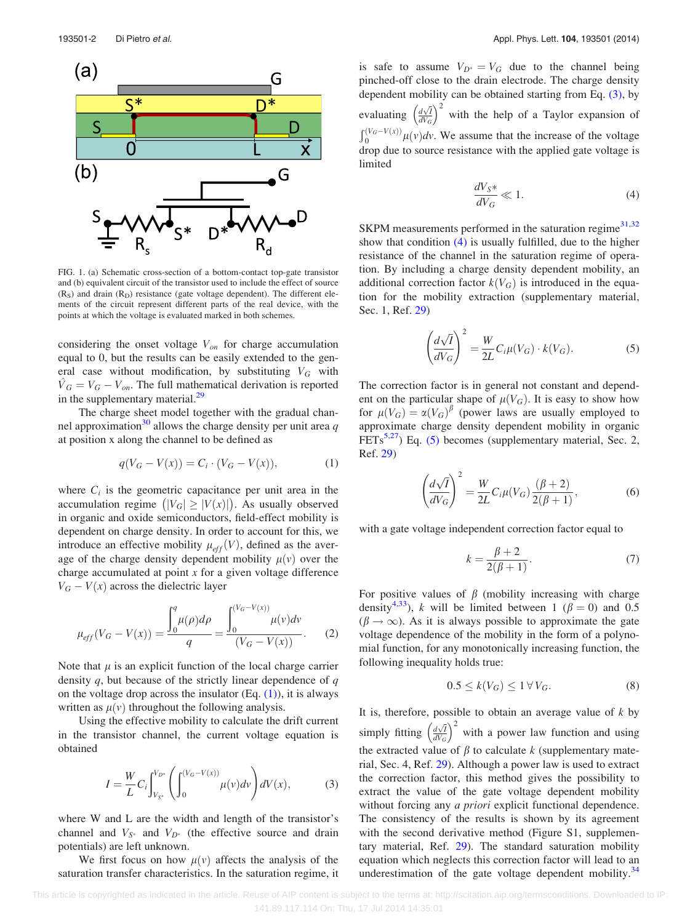<span id="page-2-0"></span>

FIG. 1. (a) Schematic cross-section of a bottom-contact top-gate transistor and (b) equivalent circuit of the transistor used to include the effect of source  $(R<sub>S</sub>)$  and drain  $(R<sub>D</sub>)$  resistance (gate voltage dependent). The different elements of the circuit represent different parts of the real device, with the points at which the voltage is evaluated marked in both schemes.

considering the onset voltage  $V_{on}$  for charge accumulation equal to 0, but the results can be easily extended to the general case without modification, by substituting  $V_G$  with  $\hat{V}_G = V_G - V_{on}$ . The full mathematical derivation is reported in the supplementary material.<sup>29</sup>

The charge sheet model together with the gradual chan-nel approximation<sup>[30](#page-5-0)</sup> allows the charge density per unit area q at position x along the channel to be defined as

$$
q(V_G - V(x)) = C_i \cdot (V_G - V(x)),
$$
 (1)

where  $C_i$  is the geometric capacitance per unit area in the accumulation regime  $(|V_G| \geq |V(x)|)$ . As usually observed in organic and oxide semiconductors, field-effect mobility is dependent on charge density. In order to account for this, we introduce an effective mobility  $\mu_{eff}(V)$ , defined as the average of the charge density dependent mobility  $\mu(v)$  over the charge accumulated at point  $x$  for a given voltage difference  $V_G - V(x)$  across the dielectric layer

$$
\mu_{eff}(V_G - V(x)) = \frac{\int_0^q \mu(\rho)d\rho}{q} = \frac{\int_0^{(V_G - V(x))} \mu(v)dv}{(V_G - V(x))}.
$$
 (2)

Note that  $\mu$  is an explicit function of the local charge carrier density  $q$ , but because of the strictly linear dependence of  $q$ on the voltage drop across the insulator  $(Eq. (1))$ , it is always written as  $\mu(v)$  throughout the following analysis.

Using the effective mobility to calculate the drift current in the transistor channel, the current voltage equation is obtained

$$
I = \frac{W}{L} C_i \int_{V_{S^*}}^{V_{D^*}} \left( \int_0^{(V_G - V(x))} \mu(v) dv \right) dV(x), \tag{3}
$$

where W and L are the width and length of the transistor's channel and  $V_{S^*}$  and  $V_{D^*}$  (the effective source and drain potentials) are left unknown.

We first focus on how  $\mu(\nu)$  affects the analysis of the saturation transfer characteristics. In the saturation regime, it is safe to assume  $V_{D^*} = V_G$  due to the channel being pinched-off close to the drain electrode. The charge density dependent mobility can be obtained starting from Eq. (3), by evaluating  $\left(\frac{d\sqrt{l}}{dV_c}\right)$  $dV_G$  $(1/\pi)^2$ with the help of a Taylor expansion of  $\int_0^{(V_G - V(x))} \mu(v) dv$ . We assume that the increase of the voltage drop due to source resistance with the applied gate voltage is limited

$$
\frac{dV_S*}{dV_G} \ll 1. \tag{4}
$$

SKPM measurements performed in the saturation regime $31,32$ show that condition  $(4)$  is usually fulfilled, due to the higher resistance of the channel in the saturation regime of operation. By including a charge density dependent mobility, an additional correction factor  $k(V_G)$  is introduced in the equation for the mobility extraction (supplementary material, Sec. 1, Ref. [29](#page-5-0))

$$
\left(\frac{d\sqrt{I}}{dV_G}\right)^2 = \frac{W}{2L}C_i\mu(V_G) \cdot k(V_G).
$$
\n(5)

The correction factor is in general not constant and dependent on the particular shape of  $\mu(V_G)$ . It is easy to show how for  $\mu(V_G) = \alpha(V_G)^\beta$  (power laws are usually employed to approximate charge density dependent mobility in organic FETs<sup>5,27</sup>) Eq. (5) becomes (supplementary material, Sec. 2, Ref. [29\)](#page-5-0)

$$
\left(\frac{d\sqrt{I}}{dV_G}\right)^2 = \frac{W}{2L}C_i\mu(V_G)\frac{(\beta+2)}{2(\beta+1)},
$$
\n(6)

with a gate voltage independent correction factor equal to

$$
k = \frac{\beta + 2}{2(\beta + 1)}.
$$
\n(7)

For positive values of  $\beta$  (mobility increasing with charge density<sup>[4,33](#page-5-0)</sup>), k will be limited between 1 ( $\beta = 0$ ) and 0.5  $(\beta \rightarrow \infty)$ . As it is always possible to approximate the gate voltage dependence of the mobility in the form of a polynomial function, for any monotonically increasing function, the following inequality holds true:

$$
0.5 \le k(V_G) \le 1 \,\forall\, V_G. \tag{8}
$$

It is, therefore, possible to obtain an average value of  $k$  by simply fitting  $\left(\frac{d\sqrt{l}}{dV_c}\right)$  $dV_G$  $\frac{1}{(1-5)}$  2 with a power law function and using the extracted value of  $\beta$  to calculate k (supplementary material, Sec. 4, Ref. [29\)](#page-5-0). Although a power law is used to extract the correction factor, this method gives the possibility to extract the value of the gate voltage dependent mobility without forcing any *a priori* explicit functional dependence. The consistency of the results is shown by its agreement with the second derivative method (Figure S1, supplementary material, Ref. [29\)](#page-5-0). The standard saturation mobility equation which neglects this correction factor will lead to an underestimation of the gate voltage dependent mobility. $34$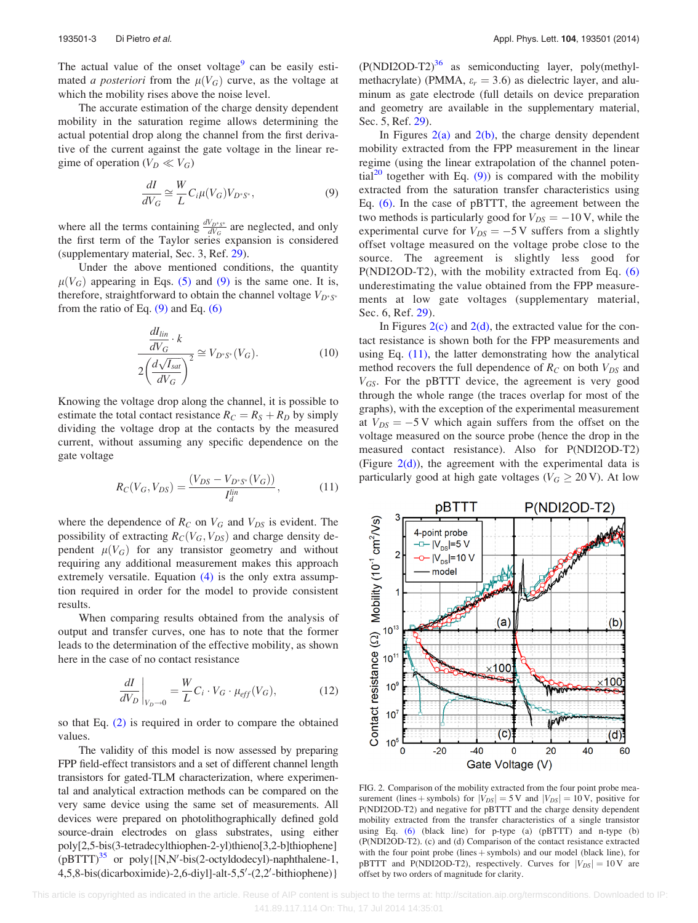<span id="page-3-0"></span>The actual value of the onset voltage $<sup>9</sup>$  $<sup>9</sup>$  $<sup>9</sup>$  can be easily esti-</sup> mated *a posteriori* from the  $\mu(V_G)$  curve, as the voltage at which the mobility rises above the noise level.

The accurate estimation of the charge density dependent mobility in the saturation regime allows determining the actual potential drop along the channel from the first derivative of the current against the gate voltage in the linear regime of operation ( $V_D \ll V_G$ )

$$
\frac{dI}{dV_G} \cong \frac{W}{L} C_i \mu(V_G) V_{D^*S^*},\tag{9}
$$

where all the terms containing  $\frac{dV_{D^*S^*}}{dV_G}$  are neglected, and only the first term of the Taylor series expansion is considered (supplementary material, Sec. 3, Ref. [29\)](#page-5-0).

Under the above mentioned conditions, the quantity  $\mu(V_G)$  appearing in Eqs. [\(5\)](#page-2-0) and (9) is the same one. It is, therefore, straightforward to obtain the channel voltage  $V_{D^*S^*}$ from the ratio of Eq.  $(9)$  and Eq.  $(6)$ 

$$
\frac{\frac{dI_{lin}}{dV_G} \cdot k}{2\left(\frac{d\sqrt{I_{sat}}}{dV_G}\right)^2} \cong V_{D^*S^*}(V_G). \tag{10}
$$

Knowing the voltage drop along the channel, it is possible to estimate the total contact resistance  $R_C = R_S + R_D$  by simply dividing the voltage drop at the contacts by the measured current, without assuming any specific dependence on the gate voltage

$$
R_C(V_G, V_{DS}) = \frac{(V_{DS} - V_{D^*S^*}(V_G))}{I_d^{lin}},\tag{11}
$$

where the dependence of  $R_C$  on  $V_G$  and  $V_{DS}$  is evident. The possibility of extracting  $R_C(V_G, V_{DS})$  and charge density dependent  $\mu(V_G)$  for any transistor geometry and without requiring any additional measurement makes this approach extremely versatile. Equation [\(4\)](#page-2-0) is the only extra assumption required in order for the model to provide consistent results.

When comparing results obtained from the analysis of output and transfer curves, one has to note that the former leads to the determination of the effective mobility, as shown here in the case of no contact resistance

$$
\left. \frac{dI}{dV_D} \right|_{V_D \to 0} = \frac{W}{L} C_i \cdot V_G \cdot \mu_{eff}(V_G),\tag{12}
$$

so that Eq. [\(2\)](#page-2-0) is required in order to compare the obtained values.

The validity of this model is now assessed by preparing FPP field-effect transistors and a set of different channel length transistors for gated-TLM characterization, where experimental and analytical extraction methods can be compared on the very same device using the same set of measurements. All devices were prepared on photolithographically defined gold source-drain electrodes on glass substrates, using either poly[2,5-bis(3-tetradecylthiophen-2-yl)thieno[3,2-b]thiophene]  $(pBTTT)^{35}$  $(pBTTT)^{35}$  $(pBTTT)^{35}$  or poly $\{[N,N'-bis(2-octyldodecyl)-naphthalene-1,$ 4,5,8-bis(dicarboximide)-2,6-diyl]-alt-5,5'-(2,2'-bithiophene)}

 $(P(NDI2OD-T2)<sup>36</sup>$  as semiconducting layer, poly(methylmethacrylate) (PMMA,  $\varepsilon_r = 3.6$ ) as dielectric layer, and aluminum as gate electrode (full details on device preparation and geometry are available in the supplementary material, Sec. 5, Ref. [29](#page-5-0)).

In Figures  $2(a)$  and  $2(b)$ , the charge density dependent mobility extracted from the FPP measurement in the linear regime (using the linear extrapolation of the channel poten-tial<sup>[20](#page-5-0)</sup> together with Eq.  $(9)$ ) is compared with the mobility extracted from the saturation transfer characteristics using Eq. [\(6\)](#page-2-0). In the case of pBTTT, the agreement between the two methods is particularly good for  $V_{DS} = -10 \text{ V}$ , while the experimental curve for  $V_{DS} = -5$  V suffers from a slightly offset voltage measured on the voltage probe close to the source. The agreement is slightly less good for P(NDI2OD-T2), with the mobility extracted from Eq. [\(6\)](#page-2-0) underestimating the value obtained from the FPP measurements at low gate voltages (supplementary material, Sec. 6, Ref. [29\)](#page-5-0).

In Figures  $2(c)$  and  $2(d)$ , the extracted value for the contact resistance is shown both for the FPP measurements and using Eq. (11), the latter demonstrating how the analytical method recovers the full dependence of  $R_C$  on both  $V_{DS}$  and  $V_{GS}$ . For the pBTTT device, the agreement is very good through the whole range (the traces overlap for most of the graphs), with the exception of the experimental measurement at  $V_{DS} = -5$  V which again suffers from the offset on the voltage measured on the source probe (hence the drop in the measured contact resistance). Also for P(NDI2OD-T2) (Figure  $2(d)$ ), the agreement with the experimental data is particularly good at high gate voltages ( $V_G \geq 20$  V). At low



FIG. 2. Comparison of the mobility extracted from the four point probe measurement (lines + symbols) for  $|V_{DS}| = 5$  V and  $|V_{DS}| = 10$  V, positive for P(NDI2OD-T2) and negative for pBTTT and the charge density dependent mobility extracted from the transfer characteristics of a single transistor using Eq. [\(6\)](#page-2-0) (black line) for p-type (a) (pBTTT) and n-type (b) (P(NDI2OD-T2). (c) and (d) Comparison of the contact resistance extracted with the four point probe (lines  $+$  symbols) and our model (black line), for pBTTT and P(NDI2OD-T2), respectively. Curves for  $|V_{DS}| = 10 \text{ V}$  are offset by two orders of magnitude for clarity.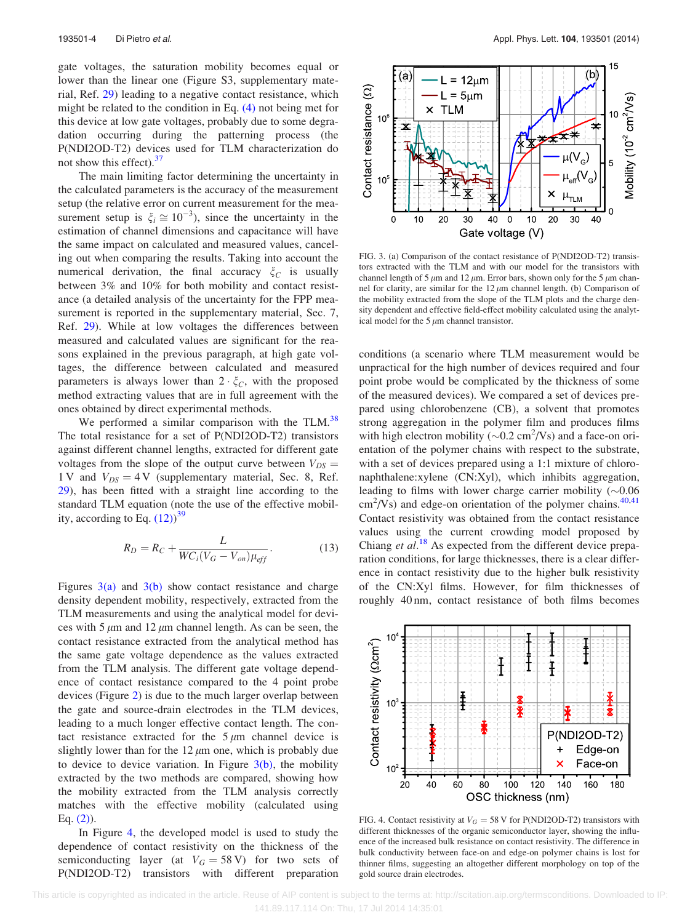gate voltages, the saturation mobility becomes equal or lower than the linear one (Figure S3, supplementary material, Ref. [29](#page-5-0)) leading to a negative contact resistance, which might be related to the condition in Eq. [\(4\)](#page-2-0) not being met for this device at low gate voltages, probably due to some degradation occurring during the patterning process (the P(NDI2OD-T2) devices used for TLM characterization do not show this effect). $37$ 

The main limiting factor determining the uncertainty in the calculated parameters is the accuracy of the measurement setup (the relative error on current measurement for the measurement setup is  $\xi_i \cong 10^{-3}$ ), since the uncertainty in the estimation of channel dimensions and capacitance will have the same impact on calculated and measured values, canceling out when comparing the results. Taking into account the numerical derivation, the final accuracy  $\zeta_c$  is usually between 3% and 10% for both mobility and contact resistance (a detailed analysis of the uncertainty for the FPP measurement is reported in the supplementary material, Sec. 7, Ref. [29](#page-5-0)). While at low voltages the differences between measured and calculated values are significant for the reasons explained in the previous paragraph, at high gate voltages, the difference between calculated and measured parameters is always lower than  $2 \cdot \xi_C$ , with the proposed method extracting values that are in full agreement with the ones obtained by direct experimental methods.

We performed a similar comparison with the TLM.<sup>[38](#page-5-0)</sup> The total resistance for a set of P(NDI2OD-T2) transistors against different channel lengths, extracted for different gate voltages from the slope of the output curve between  $V_{DS} =$ 1 V and  $V_{DS} = 4$  V (supplementary material, Sec. 8, Ref. [29](#page-5-0)), has been fitted with a straight line according to the standard TLM equation (note the use of the effective mobility, according to Eq.  $(12)^{39}$  $(12)^{39}$  $(12)^{39}$ 

$$
R_D = R_C + \frac{L}{WC_i(V_G - V_{on})\mu_{eff}}.
$$
\n(13)

Figures  $3(a)$  and  $3(b)$  show contact resistance and charge density dependent mobility, respectively, extracted from the TLM measurements and using the analytical model for devices with 5  $\mu$ m and 12  $\mu$ m channel length. As can be seen, the contact resistance extracted from the analytical method has the same gate voltage dependence as the values extracted from the TLM analysis. The different gate voltage dependence of contact resistance compared to the 4 point probe devices (Figure [2](#page-3-0)) is due to the much larger overlap between the gate and source-drain electrodes in the TLM devices, leading to a much longer effective contact length. The contact resistance extracted for the  $5 \mu m$  channel device is slightly lower than for the  $12 \mu m$  one, which is probably due to device to device variation. In Figure  $3(b)$ , the mobility extracted by the two methods are compared, showing how the mobility extracted from the TLM analysis correctly matches with the effective mobility (calculated using Eq.  $(2)$ ).

In Figure 4, the developed model is used to study the dependence of contact resistivity on the thickness of the semiconducting layer (at  $V_G = 58 \text{ V}$ ) for two sets of P(NDI2OD-T2) transistors with different preparation



FIG. 3. (a) Comparison of the contact resistance of P(NDI2OD-T2) transistors extracted with the TLM and with our model for the transistors with channel length of 5  $\mu$ m and 12  $\mu$ m. Error bars, shown only for the 5  $\mu$ m channel for clarity, are similar for the  $12 \mu m$  channel length. (b) Comparison of the mobility extracted from the slope of the TLM plots and the charge density dependent and effective field-effect mobility calculated using the analytical model for the  $5 \mu$ m channel transistor.

conditions (a scenario where TLM measurement would be unpractical for the high number of devices required and four point probe would be complicated by the thickness of some of the measured devices). We compared a set of devices prepared using chlorobenzene (CB), a solvent that promotes strong aggregation in the polymer film and produces films with high electron mobility ( $\sim 0.2$  cm<sup>2</sup>/Vs) and a face-on orientation of the polymer chains with respect to the substrate, with a set of devices prepared using a 1:1 mixture of chloronaphthalene:xylene (CN:Xyl), which inhibits aggregation, leading to films with lower charge carrier mobility  $(\sim 0.06$  $\text{cm}^2$ /Vs) and edge-on orientation of the polymer chains.<sup>[40,41](#page-5-0)</sup> Contact resistivity was obtained from the contact resistance values using the current crowding model proposed by Chiang et  $al.^{18}$  $al.^{18}$  $al.^{18}$  As expected from the different device preparation conditions, for large thicknesses, there is a clear difference in contact resistivity due to the higher bulk resistivity of the CN:Xyl films. However, for film thicknesses of roughly 40 nm, contact resistance of both films becomes



FIG. 4. Contact resistivity at  $V_G = 58$  V for P(NDI2OD-T2) transistors with different thicknesses of the organic semiconductor layer, showing the influence of the increased bulk resistance on contact resistivity. The difference in bulk conductivity between face-on and edge-on polymer chains is lost for thinner films, suggesting an altogether different morphology on top of the gold source drain electrodes.